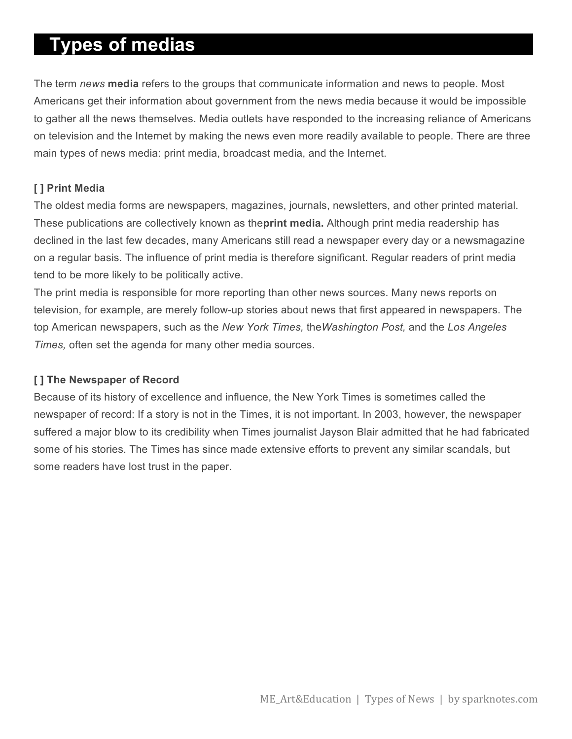# **Types of medias**

The term *news* **media** refers to the groups that communicate information and news to people. Most Americans get their information about government from the news media because it would be impossible to gather all the news themselves. Media outlets have responded to the increasing reliance of Americans on television and the Internet by making the news even more readily available to people. There are three main types of news media: print media, broadcast media, and the Internet.

### **[ ] Print Media**

The oldest media forms are newspapers, magazines, journals, newsletters, and other printed material. These publications are collectively known as the**print media.** Although print media readership has declined in the last few decades, many Americans still read a newspaper every day or a newsmagazine on a regular basis. The influence of print media is therefore significant. Regular readers of print media tend to be more likely to be politically active.

The print media is responsible for more reporting than other news sources. Many news reports on television, for example, are merely follow-up stories about news that first appeared in newspapers. The top American newspapers, such as the *New York Times,* the*Washington Post,* and the *Los Angeles Times,* often set the agenda for many other media sources.

#### **[ ] The Newspaper of Record**

Because of its history of excellence and influence, the New York Times is sometimes called the newspaper of record: If a story is not in the Times, it is not important. In 2003, however, the newspaper suffered a major blow to its credibility when Times journalist Jayson Blair admitted that he had fabricated some of his stories. The Times has since made extensive efforts to prevent any similar scandals, but some readers have lost trust in the paper.